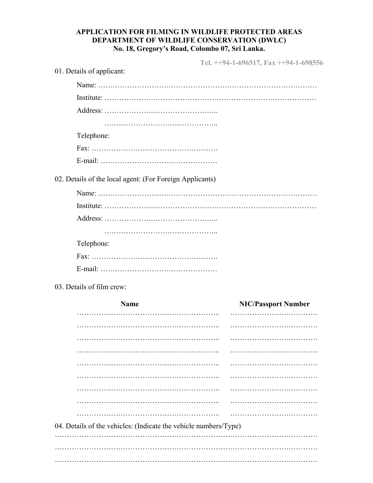## **APPLICATION FOR FILMING IN WILDLIFE PROTECTED AREAS DEPARTMENT OF WILDLIFE CONSERVATION (DWLC) No. 18, Gregory's Road, Colombo 07, Sri Lanka.**

**Tel. ++94-1-696517, Fax ++94-1-698556** 

| 01. Details of applicant:                                |                            |  |  |  |
|----------------------------------------------------------|----------------------------|--|--|--|
|                                                          |                            |  |  |  |
|                                                          |                            |  |  |  |
|                                                          |                            |  |  |  |
|                                                          |                            |  |  |  |
| Telephone:                                               |                            |  |  |  |
|                                                          |                            |  |  |  |
|                                                          |                            |  |  |  |
| 02. Details of the local agent: (For Foreign Applicants) |                            |  |  |  |
|                                                          |                            |  |  |  |
|                                                          |                            |  |  |  |
|                                                          |                            |  |  |  |
|                                                          |                            |  |  |  |
| Telephone:                                               |                            |  |  |  |
|                                                          |                            |  |  |  |
|                                                          |                            |  |  |  |
| 03. Details of film crew:                                |                            |  |  |  |
| <b>Name</b>                                              | <b>NIC/Passport Number</b> |  |  |  |
|                                                          |                            |  |  |  |
|                                                          |                            |  |  |  |
|                                                          |                            |  |  |  |
|                                                          |                            |  |  |  |
|                                                          |                            |  |  |  |
|                                                          |                            |  |  |  |
|                                                          |                            |  |  |  |
|                                                          |                            |  |  |  |
|                                                          |                            |  |  |  |

04. Details of the vehicles: (Indicate the vehicle numbers/Type)

……………………………………………………………………………………………… ……………………………………………………………………………………………… ………………………………………………………………………………………………